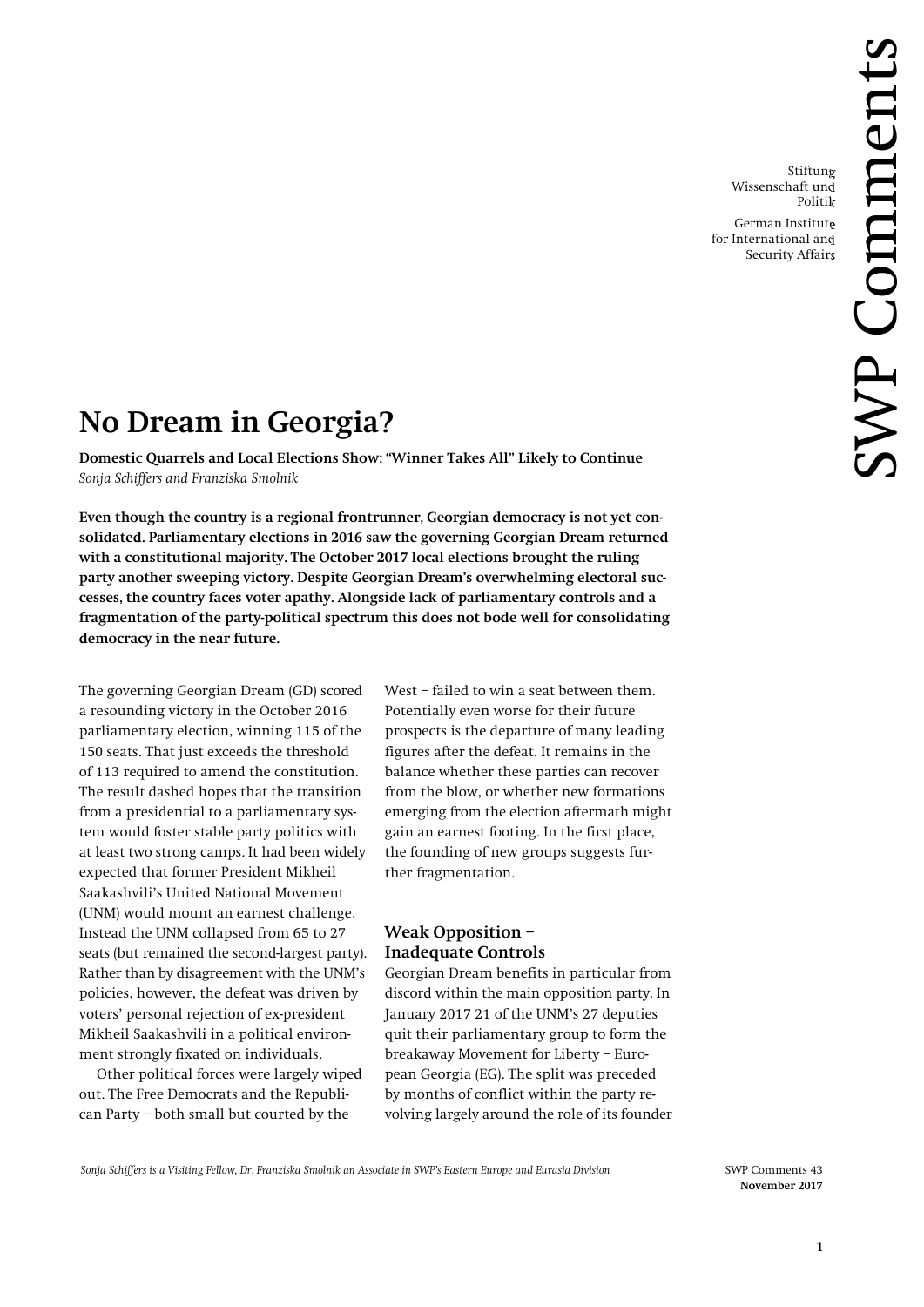Stiftung Wissenschaft und Politik

German Institute for International and Security Affairs

# **No Dream in Georgia?**

**Domestic Quarrels and Local Elections Show: "Winner Takes All" Likely to Continue** *Sonja Schiffers and Franziska Smolnik*

**Even though the country is a regional frontrunner, Georgian democracy is not yet consolidated. Parliamentary elections in 2016 saw the governing Georgian Dream returned with a constitutional majority. The October 2017 local elections brought the ruling party another sweeping victory. Despite Georgian Dream's overwhelming electoral successes, the country faces voter apathy. Alongside lack of parliamentary controls and a fragmentation of the party-political spectrum this does not bode well for consolidating democracy in the near future.**

The governing Georgian Dream (GD) scored a resounding victory in the October 2016 parliamentary election, winning 115 of the 150 seats. That just exceeds the threshold of 113 required to amend the constitution. The result dashed hopes that the transition from a presidential to a parliamentary system would foster stable party politics with at least two strong camps. It had been widely expected that former President Mikheil Saakashvili's United National Movement (UNM) would mount an earnest challenge. Instead the UNM collapsed from 65 to 27 seats (but remained the second-largest party). Rather than by disagreement with the UNM's policies, however, the defeat was driven by voters' personal rejection of ex-president Mikheil Saakashvili in a political environment strongly fixated on individuals.

Other political forces were largely wiped out. The Free Democrats and the Republican Party – both small but courted by the

West – failed to win a seat between them. Potentially even worse for their future prospects is the departure of many leading figures after the defeat. It remains in the balance whether these parties can recover from the blow, or whether new formations emerging from the election aftermath might gain an earnest footing. In the first place, the founding of new groups suggests further fragmentation.

# **Weak Opposition – Inadequate Controls**

Georgian Dream benefits in particular from discord within the main opposition party. In January 2017 21 of the UNM's 27 deputies quit their parliamentary group to form the breakaway Movement for Liberty – European Georgia (EG). The split was preceded by months of conflict within the party revolving largely around the role of its founder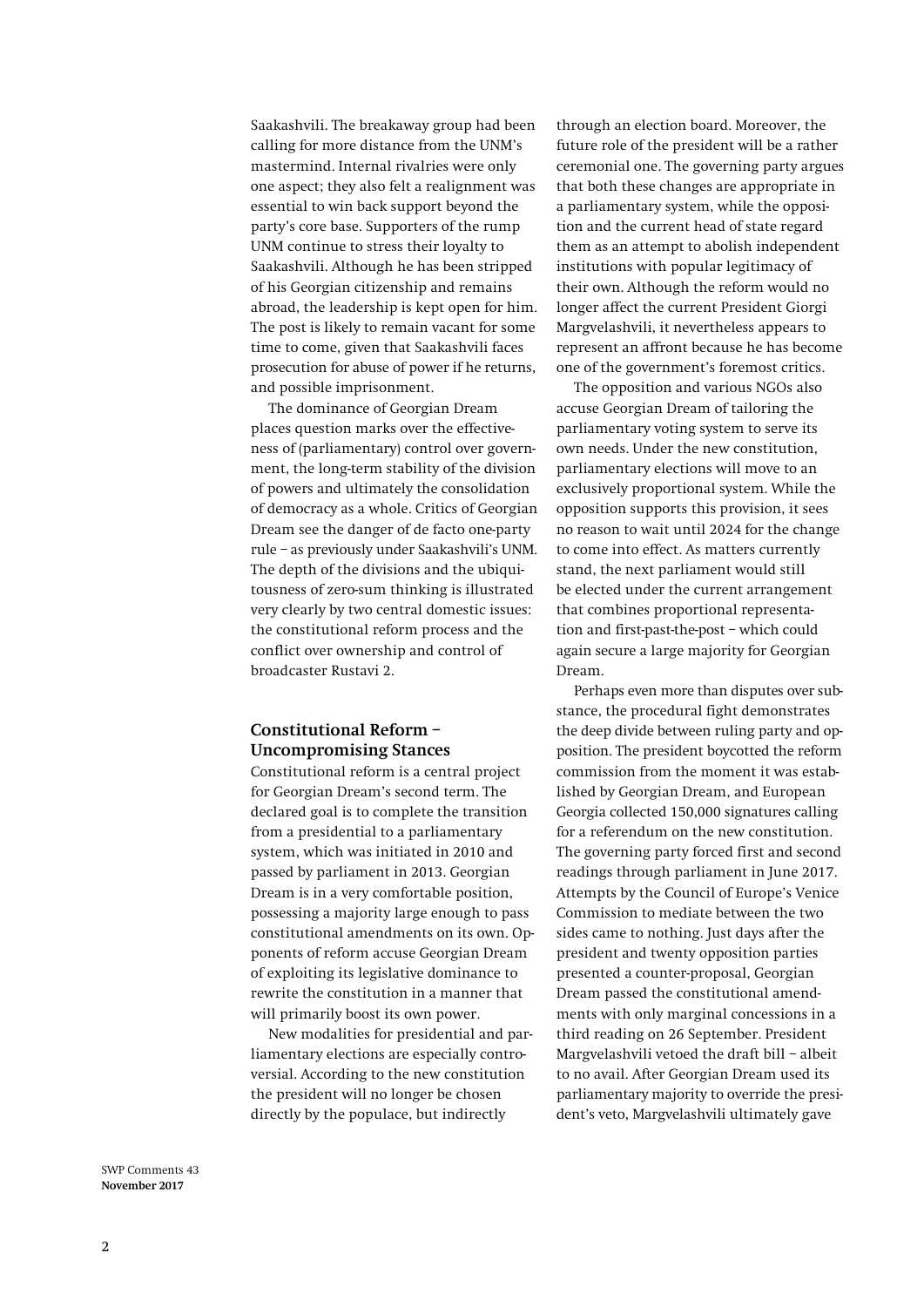Saakashvili. The breakaway group had been calling for more distance from the UNM's mastermind. Internal rivalries were only one aspect; they also felt a realignment was essential to win back support beyond the party's core base. Supporters of the rump UNM continue to stress their loyalty to Saakashvili. Although he has been stripped of his Georgian citizenship and remains abroad, the leadership is kept open for him. The post is likely to remain vacant for some time to come, given that Saakashvili faces prosecution for abuse of power if he returns, and possible imprisonment.

The dominance of Georgian Dream places question marks over the effectiveness of (parliamentary) control over government, the long-term stability of the division of powers and ultimately the consolidation of democracy as a whole. Critics of Georgian Dream see the danger of de facto one-party rule – as previously under Saakashvili's UNM. The depth of the divisions and the ubiquitousness of zero-sum thinking is illustrated very clearly by two central domestic issues: the constitutional reform process and the conflict over ownership and control of broadcaster Rustavi 2.

## **Constitutional Reform – Uncompromising Stances**

Constitutional reform is a central project for Georgian Dream's second term. The declared goal is to complete the transition from a presidential to a parliamentary system, which was initiated in 2010 and passed by parliament in 2013. Georgian Dream is in a very comfortable position, possessing a majority large enough to pass constitutional amendments on its own. Opponents of reform accuse Georgian Dream of exploiting its legislative dominance to rewrite the constitution in a manner that will primarily boost its own power.

New modalities for presidential and parliamentary elections are especially controversial. According to the new constitution the president will no longer be chosen directly by the populace, but indirectly

through an election board. Moreover, the future role of the president will be a rather ceremonial one. The governing party argues that both these changes are appropriate in a parliamentary system, while the opposition and the current head of state regard them as an attempt to abolish independent institutions with popular legitimacy of their own. Although the reform would no longer affect the current President Giorgi Margvelashvili, it nevertheless appears to represent an affront because he has become one of the government's foremost critics.

The opposition and various NGOs also accuse Georgian Dream of tailoring the parliamentary voting system to serve its own needs. Under the new constitution, parliamentary elections will move to an exclusively proportional system. While the opposition supports this provision, it sees no reason to wait until 2024 for the change to come into effect. As matters currently stand, the next parliament would still be elected under the current arrangement that combines proportional representation and first-past-the-post – which could again secure a large majority for Georgian Dream.

Perhaps even more than disputes over substance, the procedural fight demonstrates the deep divide between ruling party and opposition. The president boycotted the reform commission from the moment it was established by Georgian Dream, and European Georgia collected 150,000 signatures calling for a referendum on the new constitution. The governing party forced first and second readings through parliament in June 2017. Attempts by the Council of Europe's Venice Commission to mediate between the two sides came to nothing. Just days after the president and twenty opposition parties presented a counter-proposal, Georgian Dream passed the constitutional amendments with only marginal concessions in a third reading on 26 September. President Margvelashvili vetoed the draft bill – albeit to no avail. After Georgian Dream used its parliamentary majority to override the president's veto, Margvelashvili ultimately gave

SWP Comments 43 **November 2017**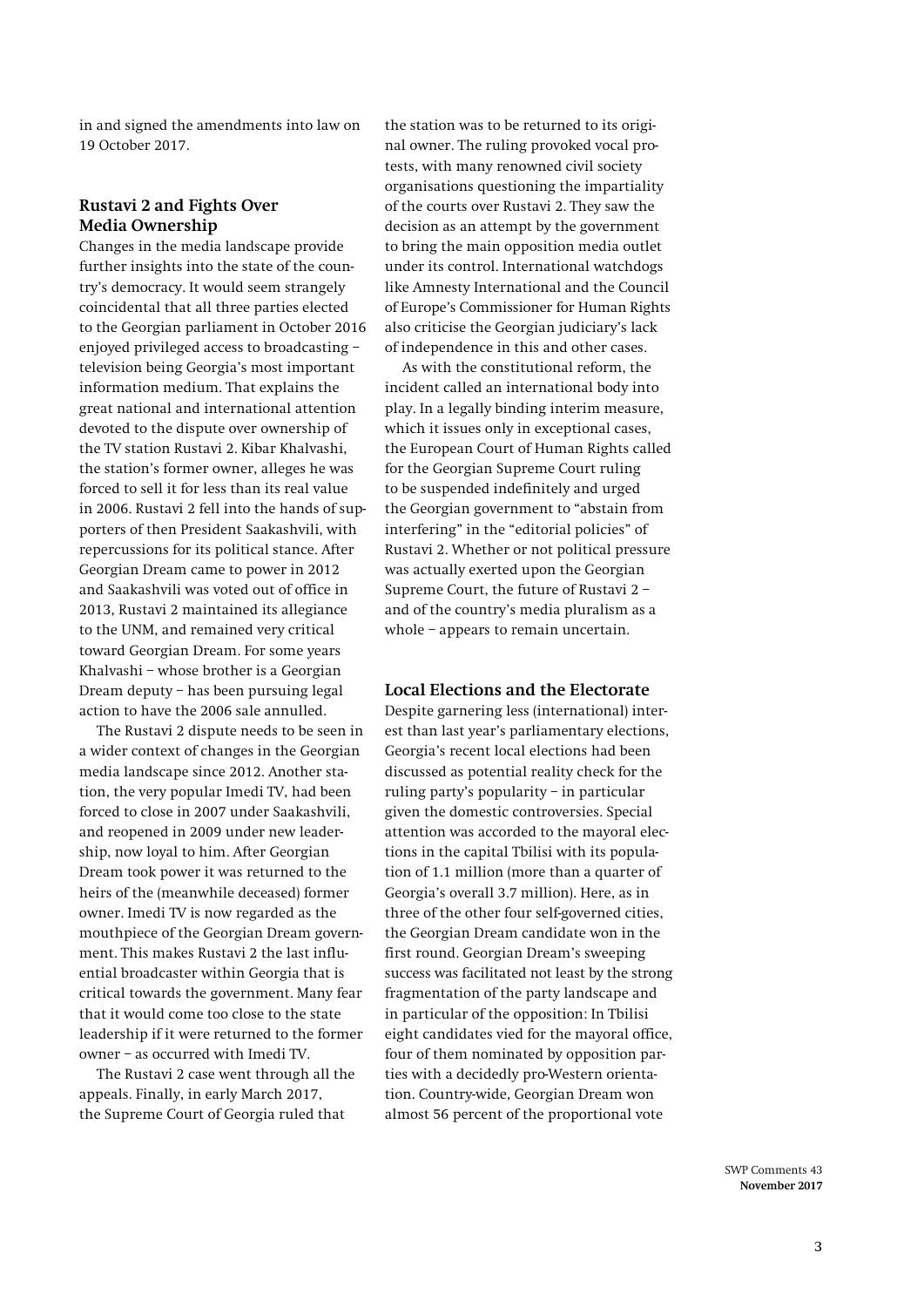in and signed the amendments into law on 19 October 2017.

#### **Rustavi 2 and Fights Over Media Ownership**

Changes in the media landscape provide further insights into the state of the country's democracy. It would seem strangely coincidental that all three parties elected to the Georgian parliament in October 2016 enjoyed privileged access to broadcasting – television being Georgia's most important information medium. That explains the great national and international attention devoted to the dispute over ownership of the TV station Rustavi 2. Kibar Khalvashi, the station's former owner, alleges he was forced to sell it for less than its real value in 2006. Rustavi 2 fell into the hands of supporters of then President Saakashvili, with repercussions for its political stance. After Georgian Dream came to power in 2012 and Saakashvili was voted out of office in 2013, Rustavi 2 maintained its allegiance to the UNM, and remained very critical toward Georgian Dream. For some years Khalvashi – whose brother is a Georgian Dream deputy – has been pursuing legal action to have the 2006 sale annulled.

The Rustavi 2 dispute needs to be seen in a wider context of changes in the Georgian media landscape since 2012. Another station, the very popular Imedi TV, had been forced to close in 2007 under Saakashvili, and reopened in 2009 under new leadership, now loyal to him. After Georgian Dream took power it was returned to the heirs of the (meanwhile deceased) former owner. Imedi TV is now regarded as the mouthpiece of the Georgian Dream government. This makes Rustavi 2 the last influential broadcaster within Georgia that is critical towards the government. Many fear that it would come too close to the state leadership if it were returned to the former owner – as occurred with Imedi TV.

The Rustavi 2 case went through all the appeals. Finally, in early March 2017, the Supreme Court of Georgia ruled that

the station was to be returned to its original owner. The ruling provoked vocal protests, with many renowned civil society organisations questioning the impartiality of the courts over Rustavi 2. They saw the decision as an attempt by the government to bring the main opposition media outlet under its control. International watchdogs like Amnesty International and the Council of Europe's Commissioner for Human Rights also criticise the Georgian judiciary's lack of independence in this and other cases.

As with the constitutional reform, the incident called an international body into play. In a legally binding interim measure, which it issues only in exceptional cases, the European Court of Human Rights called for the Georgian Supreme Court ruling to be suspended indefinitely and urged the Georgian government to "abstain from interfering" in the "editorial policies" of Rustavi 2. Whether or not political pressure was actually exerted upon the Georgian Supreme Court, the future of Rustavi 2 – and of the country's media pluralism as a whole – appears to remain uncertain.

### **Local Elections and the Electorate**

Despite garnering less (international) interest than last year's parliamentary elections, Georgia's recent local elections had been discussed as potential reality check for the ruling party's popularity – in particular given the domestic controversies. Special attention was accorded to the mayoral elections in the capital Tbilisi with its population of 1.1 million (more than a quarter of Georgia's overall 3.7 million). Here, as in three of the other four self-governed cities, the Georgian Dream candidate won in the first round. Georgian Dream's sweeping success was facilitated not least by the strong fragmentation of the party landscape and in particular of the opposition: In Tbilisi eight candidates vied for the mayoral office, four of them nominated by opposition parties with a decidedly pro-Western orientation. Country-wide, Georgian Dream won almost 56 percent of the proportional vote

> SWP Comments 43 **November 2017**